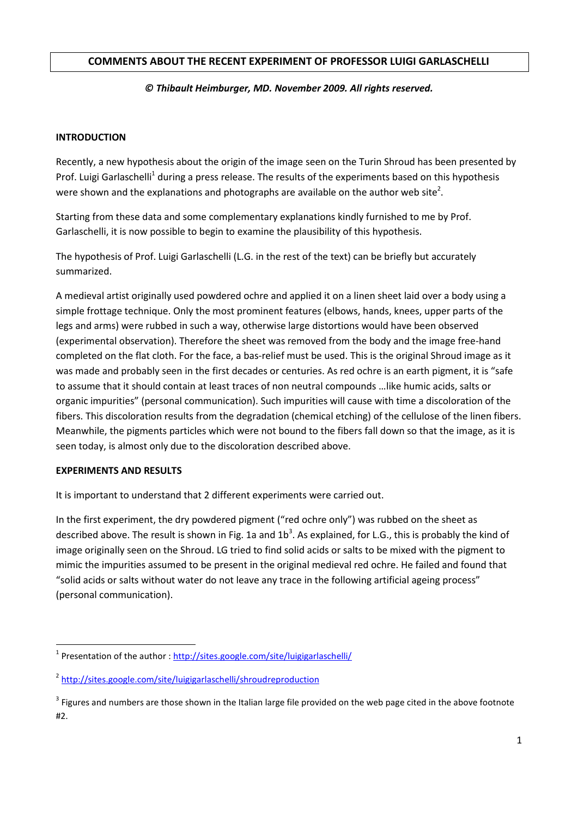# **COMMENTS ABOUT THE RECENT EXPERIMENT OF PROFESSOR LUIGI GARLASCHELLI**

## *© Thibault Heimburger, MD. November 2009. All rights reserved.*

## **INTRODUCTION**

Recently, a new hypothesis about the origin of the image seen on the Turin Shroud has been presented by Prof. Luigi Garlaschelli<sup>1</sup> during a press release. The results of the experiments based on this hypothesis were shown and the explanations and photographs are available on the author web site<sup>2</sup>.

Starting from these data and some complementary explanations kindly furnished to me by Prof. Garlaschelli, it is now possible to begin to examine the plausibility of this hypothesis.

The hypothesis of Prof. Luigi Garlaschelli (L.G. in the rest of the text) can be briefly but accurately summarized.

A medieval artist originally used powdered ochre and applied it on a linen sheet laid over a body using a simple frottage technique. Only the most prominent features (elbows, hands, knees, upper parts of the legs and arms) were rubbed in such a way, otherwise large distortions would have been observed (experimental observation). Therefore the sheet was removed from the body and the image free-hand completed on the flat cloth. For the face, a bas-relief must be used. This is the original Shroud image as it was made and probably seen in the first decades or centuries. As red ochre is an earth pigment, it is "safe to assume that it should contain at least traces of non neutral compounds …like humic acids, salts or organic impurities" (personal communication). Such impurities will cause with time a discoloration of the fibers. This discoloration results from the degradation (chemical etching) of the cellulose of the linen fibers. Meanwhile, the pigments particles which were not bound to the fibers fall down so that the image, as it is seen today, is almost only due to the discoloration described above.

### **EXPERIMENTS AND RESULTS**

 $\overline{a}$ 

It is important to understand that 2 different experiments were carried out.

In the first experiment, the dry powdered pigment ("red ochre only") was rubbed on the sheet as described above. The result is shown in Fig. 1a and  $1b^3$ . As explained, for L.G., this is probably the kind of image originally seen on the Shroud. LG tried to find solid acids or salts to be mixed with the pigment to mimic the impurities assumed to be present in the original medieval red ochre. He failed and found that "solid acids or salts without water do not leave any trace in the following artificial ageing process" (personal communication).

<sup>&</sup>lt;sup>1</sup> Presentation of the author [: http://sites.google.com/site/luigigarlaschelli/](http://sites.google.com/site/luigigarlaschelli/)

<sup>&</sup>lt;sup>2</sup> <http://sites.google.com/site/luigigarlaschelli/shroudreproduction>

 $3$  Figures and numbers are those shown in the Italian large file provided on the web page cited in the above footnote #2.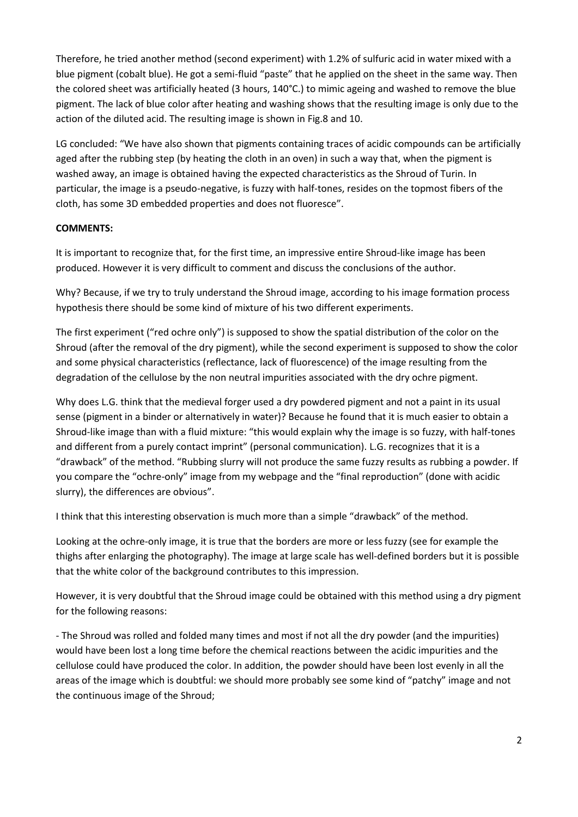Therefore, he tried another method (second experiment) with 1.2% of sulfuric acid in water mixed with a blue pigment (cobalt blue). He got a semi-fluid "paste" that he applied on the sheet in the same way. Then the colored sheet was artificially heated (3 hours, 140°C.) to mimic ageing and washed to remove the blue pigment. The lack of blue color after heating and washing shows that the resulting image is only due to the action of the diluted acid. The resulting image is shown in Fig.8 and 10.

LG concluded: "We have also shown that pigments containing traces of acidic compounds can be artificially aged after the rubbing step (by heating the cloth in an oven) in such a way that, when the pigment is washed away, an image is obtained having the expected characteristics as the Shroud of Turin. In particular, the image is a pseudo-negative, is fuzzy with half-tones, resides on the topmost fibers of the cloth, has some 3D embedded properties and does not fluoresce".

# **COMMENTS:**

It is important to recognize that, for the first time, an impressive entire Shroud-like image has been produced. However it is very difficult to comment and discuss the conclusions of the author.

Why? Because, if we try to truly understand the Shroud image, according to his image formation process hypothesis there should be some kind of mixture of his two different experiments.

The first experiment ("red ochre only") is supposed to show the spatial distribution of the color on the Shroud (after the removal of the dry pigment), while the second experiment is supposed to show the color and some physical characteristics (reflectance, lack of fluorescence) of the image resulting from the degradation of the cellulose by the non neutral impurities associated with the dry ochre pigment.

Why does L.G. think that the medieval forger used a dry powdered pigment and not a paint in its usual sense (pigment in a binder or alternatively in water)? Because he found that it is much easier to obtain a Shroud-like image than with a fluid mixture: "this would explain why the image is so fuzzy, with half-tones and different from a purely contact imprint" (personal communication). L.G. recognizes that it is a "drawback" of the method. "Rubbing slurry will not produce the same fuzzy results as rubbing a powder. If you compare the "ochre-only" image from my webpage and the "final reproduction" (done with acidic slurry), the differences are obvious".

I think that this interesting observation is much more than a simple "drawback" of the method.

Looking at the ochre-only image, it is true that the borders are more or less fuzzy (see for example the thighs after enlarging the photography). The image at large scale has well-defined borders but it is possible that the white color of the background contributes to this impression.

However, it is very doubtful that the Shroud image could be obtained with this method using a dry pigment for the following reasons:

- The Shroud was rolled and folded many times and most if not all the dry powder (and the impurities) would have been lost a long time before the chemical reactions between the acidic impurities and the cellulose could have produced the color. In addition, the powder should have been lost evenly in all the areas of the image which is doubtful: we should more probably see some kind of "patchy" image and not the continuous image of the Shroud;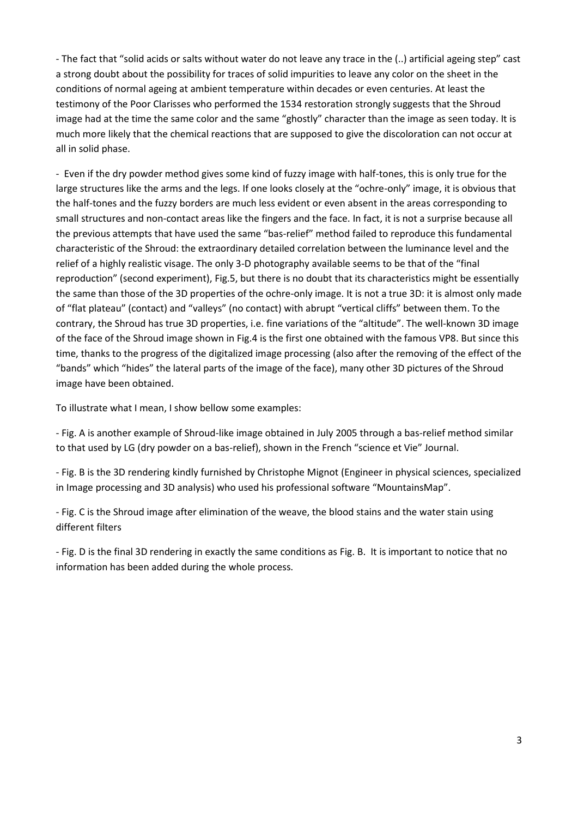- The fact that "solid acids or salts without water do not leave any trace in the (..) artificial ageing step" cast a strong doubt about the possibility for traces of solid impurities to leave any color on the sheet in the conditions of normal ageing at ambient temperature within decades or even centuries. At least the testimony of the Poor Clarisses who performed the 1534 restoration strongly suggests that the Shroud image had at the time the same color and the same "ghostly" character than the image as seen today. It is much more likely that the chemical reactions that are supposed to give the discoloration can not occur at all in solid phase.

- Even if the dry powder method gives some kind of fuzzy image with half-tones, this is only true for the large structures like the arms and the legs. If one looks closely at the "ochre-only" image, it is obvious that the half-tones and the fuzzy borders are much less evident or even absent in the areas corresponding to small structures and non-contact areas like the fingers and the face. In fact, it is not a surprise because all the previous attempts that have used the same "bas-relief" method failed to reproduce this fundamental characteristic of the Shroud: the extraordinary detailed correlation between the luminance level and the relief of a highly realistic visage. The only 3-D photography available seems to be that of the "final reproduction" (second experiment), Fig.5, but there is no doubt that its characteristics might be essentially the same than those of the 3D properties of the ochre-only image. It is not a true 3D: it is almost only made of "flat plateau" (contact) and "valleys" (no contact) with abrupt "vertical cliffs" between them. To the contrary, the Shroud has true 3D properties, i.e. fine variations of the "altitude". The well-known 3D image of the face of the Shroud image shown in Fig.4 is the first one obtained with the famous VP8. But since this time, thanks to the progress of the digitalized image processing (also after the removing of the effect of the "bands" which "hides" the lateral parts of the image of the face), many other 3D pictures of the Shroud image have been obtained.

To illustrate what I mean, I show bellow some examples:

- Fig. A is another example of Shroud-like image obtained in July 2005 through a bas-relief method similar to that used by LG (dry powder on a bas-relief), shown in the French "science et Vie" Journal.

- Fig. B is the 3D rendering kindly furnished by Christophe Mignot (Engineer in physical sciences, specialized in Image processing and 3D analysis) who used his professional software "MountainsMap".

- Fig. C is the Shroud image after elimination of the weave, the blood stains and the water stain using different filters

- Fig. D is the final 3D rendering in exactly the same conditions as Fig. B. It is important to notice that no information has been added during the whole process.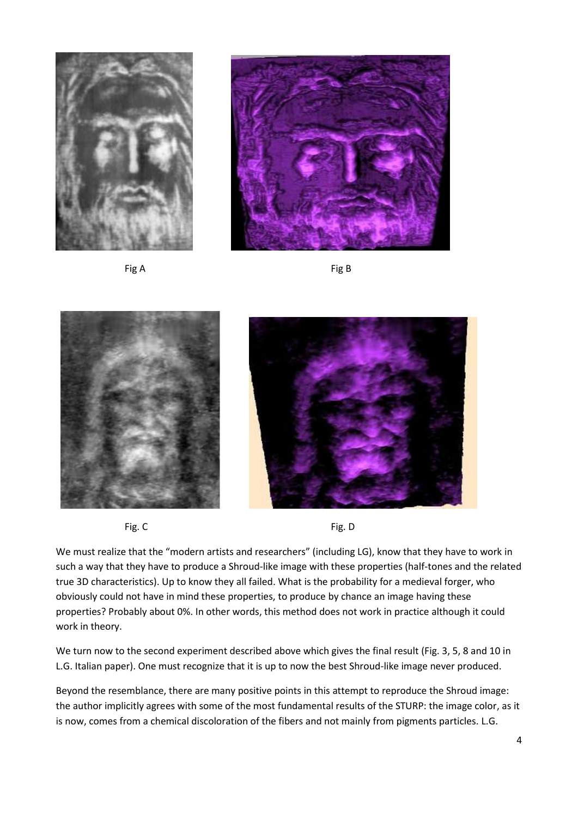











We must realize that the "modern artists and researchers" (including LG), know that they have to work in such a way that they have to produce a Shroud-like image with these properties (half-tones and the related true 3D characteristics). Up to know they all failed. What is the probability for a medieval forger, who obviously could not have in mind these properties, to produce by chance an image having these properties? Probably about 0%. In other words, this method does not work in practice although it could work in theory.

We turn now to the second experiment described above which gives the final result (Fig. 3, 5, 8 and 10 in L.G. Italian paper). One must recognize that it is up to now the best Shroud-like image never produced.

Beyond the resemblance, there are many positive points in this attempt to reproduce the Shroud image: the author implicitly agrees with some of the most fundamental results of the STURP: the image color, as it is now, comes from a chemical discoloration of the fibers and not mainly from pigments particles. L.G.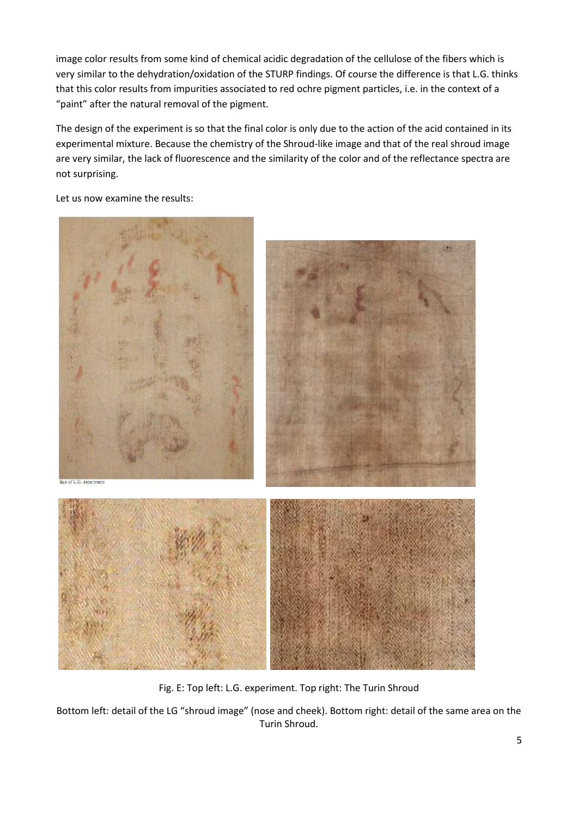image color results from some kind of chemical acidic degradation of the cellulose of the fibers which is very similar to the dehydration/oxidation of the STURP findings. Of course the difference is that L.G. thinks that this color results from impurities associated to red ochre pigment particles, i.e. in the context of a "paint" after the natural removal of the pigment.

The design of the experiment is so that the final color is only due to the action of the acid contained in its experimental mixture. Because the chemistry of the Shroud-like image and that of the real shroud image are very similar, the lack of fluorescence and the similarity of the color and of the reflectance spectra are not surprising.

Let us now examine the results:



Fig. E: Top left: L.G. experiment. Top right: The Turin Shroud

Bottom left: detail of the LG "shroud image" (nose and cheek). Bottom right: detail of the same area on the Turin Shroud.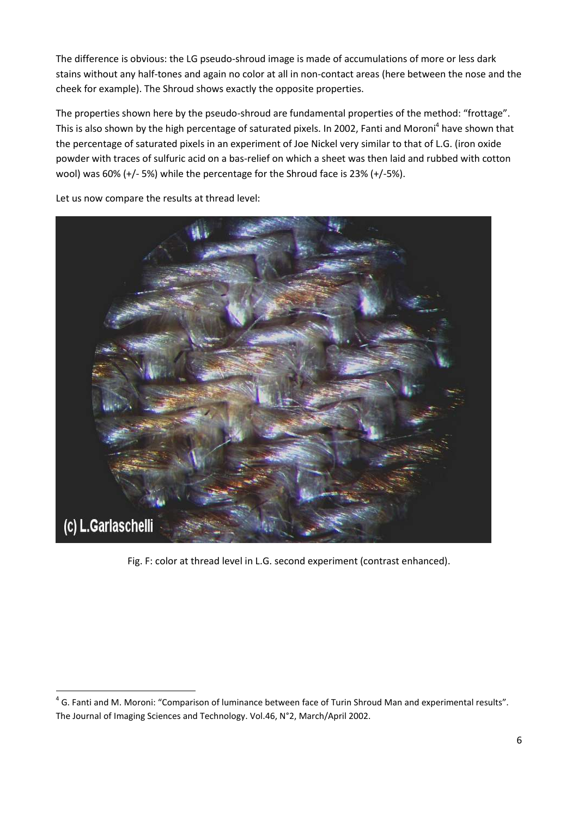The difference is obvious: the LG pseudo-shroud image is made of accumulations of more or less dark stains without any half-tones and again no color at all in non-contact areas (here between the nose and the cheek for example). The Shroud shows exactly the opposite properties.

The properties shown here by the pseudo-shroud are fundamental properties of the method: "frottage". This is also shown by the high percentage of saturated pixels. In 2002, Fanti and Moroni<sup>4</sup> have shown that the percentage of saturated pixels in an experiment of Joe Nickel very similar to that of L.G. (iron oxide powder with traces of sulfuric acid on a bas-relief on which a sheet was then laid and rubbed with cotton wool) was 60% (+/- 5%) while the percentage for the Shroud face is 23% (+/-5%).



Let us now compare the results at thread level:

 $\overline{a}$ 

Fig. F: color at thread level in L.G. second experiment (contrast enhanced).

 $<sup>4</sup>$  G. Fanti and M. Moroni: "Comparison of luminance between face of Turin Shroud Man and experimental results".</sup> The Journal of Imaging Sciences and Technology. Vol.46, N°2, March/April 2002.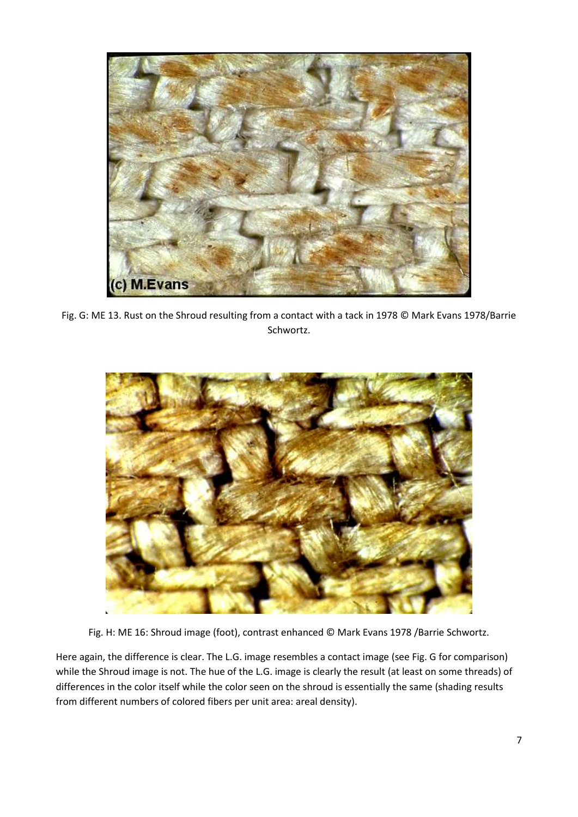

Fig. G: ME 13. Rust on the Shroud resulting from a contact with a tack in 1978 © Mark Evans 1978/Barrie Schwortz.



Fig. H: ME 16: Shroud image (foot), contrast enhanced © Mark Evans 1978 /Barrie Schwortz.

Here again, the difference is clear. The L.G. image resembles a contact image (see Fig. G for comparison) while the Shroud image is not. The hue of the L.G. image is clearly the result (at least on some threads) of differences in the color itself while the color seen on the shroud is essentially the same (shading results from different numbers of colored fibers per unit area: areal density).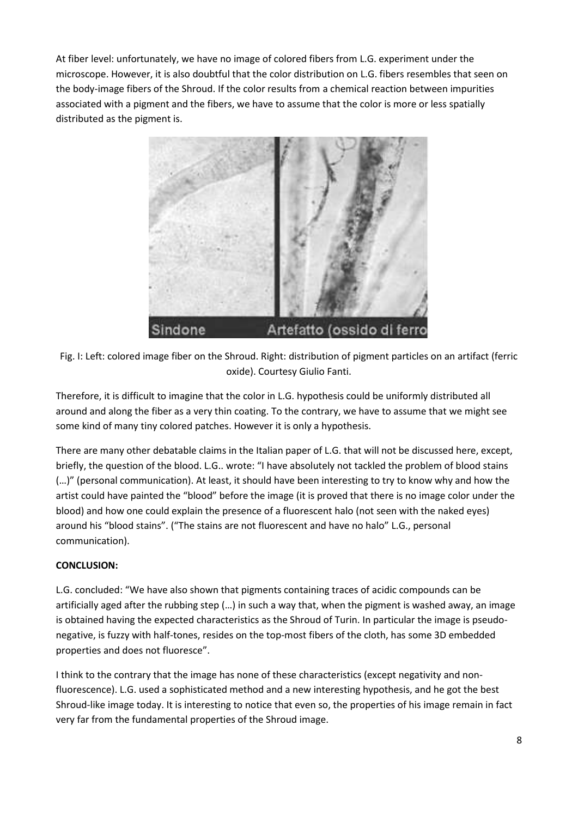At fiber level: unfortunately, we have no image of colored fibers from L.G. experiment under the microscope. However, it is also doubtful that the color distribution on L.G. fibers resembles that seen on the body-image fibers of the Shroud. If the color results from a chemical reaction between impurities associated with a pigment and the fibers, we have to assume that the color is more or less spatially distributed as the pigment is.



Fig. I: Left: colored image fiber on the Shroud. Right: distribution of pigment particles on an artifact (ferric oxide). Courtesy Giulio Fanti.

Therefore, it is difficult to imagine that the color in L.G. hypothesis could be uniformly distributed all around and along the fiber as a very thin coating. To the contrary, we have to assume that we might see some kind of many tiny colored patches. However it is only a hypothesis.

There are many other debatable claims in the Italian paper of L.G. that will not be discussed here, except, briefly, the question of the blood. L.G.. wrote: "I have absolutely not tackled the problem of blood stains (…)" (personal communication). At least, it should have been interesting to try to know why and how the artist could have painted the "blood" before the image (it is proved that there is no image color under the blood) and how one could explain the presence of a fluorescent halo (not seen with the naked eyes) around his "blood stains". ("The stains are not fluorescent and have no halo" L.G., personal communication).

# **CONCLUSION:**

L.G. concluded: "We have also shown that pigments containing traces of acidic compounds can be artificially aged after the rubbing step (…) in such a way that, when the pigment is washed away, an image is obtained having the expected characteristics as the Shroud of Turin. In particular the image is pseudonegative, is fuzzy with half-tones, resides on the top-most fibers of the cloth, has some 3D embedded properties and does not fluoresce".

I think to the contrary that the image has none of these characteristics (except negativity and nonfluorescence). L.G. used a sophisticated method and a new interesting hypothesis, and he got the best Shroud-like image today. It is interesting to notice that even so, the properties of his image remain in fact very far from the fundamental properties of the Shroud image.